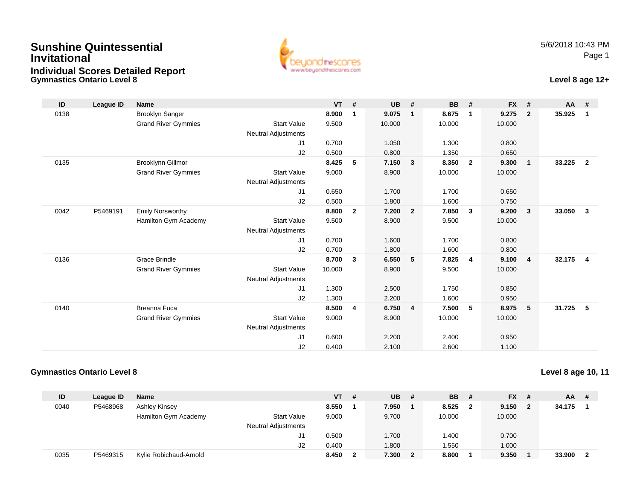## **Gymnastics Ontario Level 8 Level 8 age 12+Sunshine QuintessentialInvitationalIndividual Scores Detailed Report**



| ID   | League ID | Name                       |                            | <b>VT</b> | #                       | <b>UB</b> | #              | <b>BB</b> | #              | <b>FX</b> | #              | $AA$ # |                |
|------|-----------|----------------------------|----------------------------|-----------|-------------------------|-----------|----------------|-----------|----------------|-----------|----------------|--------|----------------|
| 0138 |           | Brooklyn Sanger            |                            | 8.900     | $\mathbf{1}$            | 9.075     | $\mathbf{1}$   | 8.675     | $\overline{1}$ | 9.275     | $\overline{2}$ | 35.925 | $\mathbf{1}$   |
|      |           | <b>Grand River Gymmies</b> | <b>Start Value</b>         | 9.500     |                         | 10.000    |                | 10.000    |                | 10.000    |                |        |                |
|      |           |                            | <b>Neutral Adjustments</b> |           |                         |           |                |           |                |           |                |        |                |
|      |           |                            | J1                         | 0.700     |                         | 1.050     |                | 1.300     |                | 0.800     |                |        |                |
|      |           |                            | J2                         | 0.500     |                         | 0.800     |                | 1.350     |                | 0.650     |                |        |                |
| 0135 |           | Brooklynn Gillmor          |                            | 8.425     | 5                       | 7.150     | 3              | 8.350     | $\overline{2}$ | 9.300     | $\overline{1}$ | 33.225 | $\overline{2}$ |
|      |           | <b>Grand River Gymmies</b> | <b>Start Value</b>         | 9.000     |                         | 8.900     |                | 10.000    |                | 10.000    |                |        |                |
|      |           |                            | <b>Neutral Adjustments</b> |           |                         |           |                |           |                |           |                |        |                |
|      |           |                            | J1                         | 0.650     |                         | 1.700     |                | 1.700     |                | 0.650     |                |        |                |
|      |           |                            | J2                         | 0.500     |                         | 1.800     |                | 1.600     |                | 0.750     |                |        |                |
| 0042 | P5469191  | <b>Emily Norsworthy</b>    |                            | 8.800     | $\overline{2}$          | 7.200     | $\overline{2}$ | 7.850     | $\mathbf{3}$   | 9.200     | $\mathbf{3}$   | 33.050 | $\mathbf{3}$   |
|      |           | Hamilton Gym Academy       | <b>Start Value</b>         | 9.500     |                         | 8.900     |                | 9.500     |                | 10.000    |                |        |                |
|      |           |                            | Neutral Adjustments        |           |                         |           |                |           |                |           |                |        |                |
|      |           |                            | J1                         | 0.700     |                         | 1.600     |                | 1.700     |                | 0.800     |                |        |                |
|      |           |                            | J2                         | 0.700     |                         | 1.800     |                | 1.600     |                | 0.800     |                |        |                |
| 0136 |           | <b>Grace Brindle</b>       |                            | 8.700     | 3                       | 6.550     | 5              | 7.825     | $\overline{4}$ | 9.100     | $\overline{4}$ | 32.175 | 4              |
|      |           | <b>Grand River Gymmies</b> | <b>Start Value</b>         | 10.000    |                         | 8.900     |                | 9.500     |                | 10.000    |                |        |                |
|      |           |                            | <b>Neutral Adjustments</b> |           |                         |           |                |           |                |           |                |        |                |
|      |           |                            | J1                         | 1.300     |                         | 2.500     |                | 1.750     |                | 0.850     |                |        |                |
|      |           |                            | J2                         | 1.300     |                         | 2.200     |                | 1.600     |                | 0.950     |                |        |                |
| 0140 |           | <b>Breanna Fuca</b>        |                            | 8.500     | $\overline{\mathbf{4}}$ | 6.750     | $\overline{4}$ | 7.500     | 5              | 8.975     | 5              | 31.725 | -5             |
|      |           | <b>Grand River Gymmies</b> | <b>Start Value</b>         | 9.000     |                         | 8.900     |                | 10.000    |                | 10.000    |                |        |                |
|      |           |                            | <b>Neutral Adjustments</b> |           |                         |           |                |           |                |           |                |        |                |
|      |           |                            | J1                         | 0.600     |                         | 2.200     |                | 2.400     |                | 0.950     |                |        |                |
|      |           |                            | J2                         | 0.400     |                         | 2.100     |                | 2.600     |                | 1.100     |                |        |                |

## **Gymnastics Ontario Level 8**

## **Level 8 age 10, 11**

| ID   | League ID | <b>Name</b>                                | <b>VT</b> | # | UB.   | -#           | <b>BB</b> | - #          | <b>FX</b><br>- #                 | AA     | -# |
|------|-----------|--------------------------------------------|-----------|---|-------|--------------|-----------|--------------|----------------------------------|--------|----|
| 0040 | P5468968  | Ashley Kinsey                              | 8.550     |   | 7.950 |              | 8.525     | $\mathbf{2}$ | 9.150<br>$\overline{\mathbf{2}}$ | 34.175 |    |
|      |           | Hamilton Gym Academy<br><b>Start Value</b> | 9.000     |   | 9.700 |              | 10.000    |              | 10.000                           |        |    |
|      |           | <b>Neutral Adjustments</b>                 |           |   |       |              |           |              |                                  |        |    |
|      |           | J1                                         | 0.500     |   | 1.700 |              | .400      |              | 0.700                            |        |    |
|      |           | J2                                         | 0.400     |   | .800  |              | .550      |              | 1.000                            |        |    |
| 0035 | P5469315  | Kylie Robichaud-Arnold                     | 8.450     |   | 7.300 | $\mathbf{2}$ | 8.800     |              | 9.350                            | 33.900 |    |